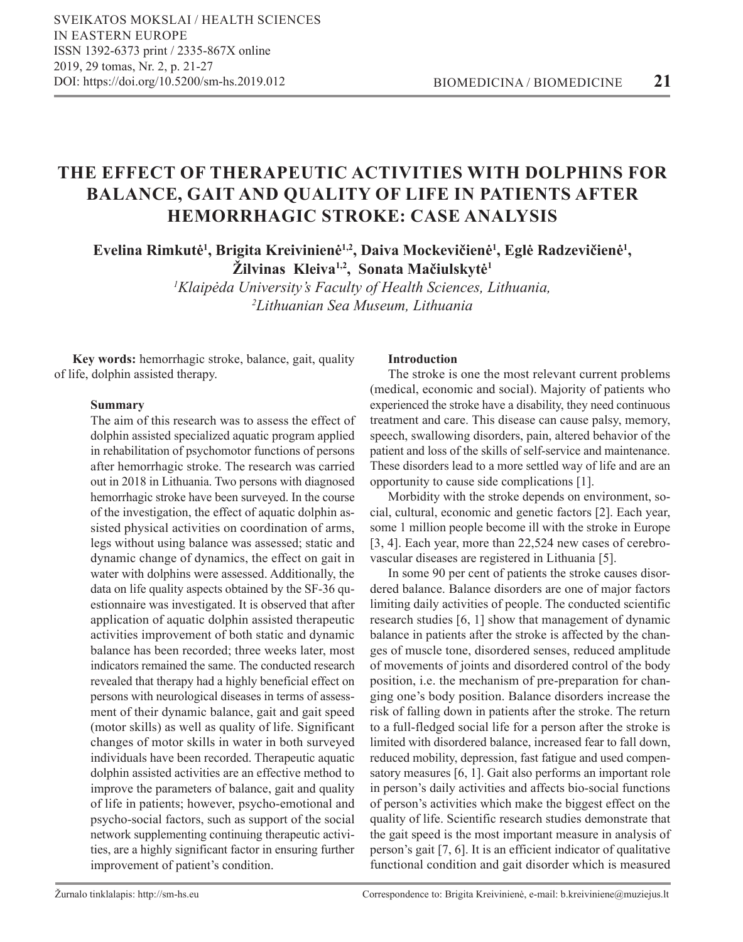# **THE EFFECT OF THERAPEUTIC ACTIVITIES WITH DOLPHINS FOR BALANCE, GAIT AND QUALITY OF LIFE IN PATIENTS AFTER HEMORRHAGIC STROKE: CASE ANALYSIS**

**Evelina Rimkutė<sup>1</sup> , Brigita Kreivinienė1,2, Daiva Mockevičienė<sup>1</sup> , Eglė Radzevičienė<sup>1</sup> , Žilvinas Kleiva1,2, Sonata Mačiulskytė<sup>1</sup>**

> *1 Klaipėda University's Faculty of Health Sciences, Lithuania, 2 Lithuanian Sea Museum, Lithuania*

**Key words:** hemorrhagic stroke, balance, gait, quality of life, dolphin assisted therapy.

# **Summary**

The aim of this research was to assess the effect of dolphin assisted specialized aquatic program applied in rehabilitation of psychomotor functions of persons after hemorrhagic stroke. The research was carried out in 2018 in Lithuania. Two persons with diagnosed hemorrhagic stroke have been surveyed. In the course of the investigation, the effect of aquatic dolphin assisted physical activities on coordination of arms, legs without using balance was assessed; static and dynamic change of dynamics, the effect on gait in water with dolphins were assessed. Additionally, the data on life quality aspects obtained by the SF-36 questionnaire was investigated. It is observed that after application of aquatic dolphin assisted therapeutic activities improvement of both static and dynamic balance has been recorded; three weeks later, most indicators remained the same. The conducted research revealed that therapy had a highly beneficial effect on persons with neurological diseases in terms of assessment of their dynamic balance, gait and gait speed (motor skills) as well as quality of life. Significant changes of motor skills in water in both surveyed individuals have been recorded. Therapeutic aquatic dolphin assisted activities are an effective method to improve the parameters of balance, gait and quality of life in patients; however, psycho-emotional and psycho-social factors, such as support of the social network supplementing continuing therapeutic activities, are a highly significant factor in ensuring further improvement of patient's condition.

## **Introduction**

The stroke is one the most relevant current problems (medical, economic and social). Majority of patients who experienced the stroke have a disability, they need continuous treatment and care. This disease can cause palsy, memory, speech, swallowing disorders, pain, altered behavior of the patient and loss of the skills of self-service and maintenance. These disorders lead to a more settled way of life and are an opportunity to cause side complications [1].

Morbidity with the stroke depends on environment, social, cultural, economic and genetic factors [2]. Each year, some 1 million people become ill with the stroke in Europe [3, 4]. Each year, more than 22,524 new cases of cerebrovascular diseases are registered in Lithuania [5].

In some 90 per cent of patients the stroke causes disordered balance. Balance disorders are one of major factors limiting daily activities of people. The conducted scientific research studies [6, 1] show that management of dynamic balance in patients after the stroke is affected by the changes of muscle tone, disordered senses, reduced amplitude of movements of joints and disordered control of the body position, i.e. the mechanism of pre-preparation for changing one's body position. Balance disorders increase the risk of falling down in patients after the stroke. The return to a full-fledged social life for a person after the stroke is limited with disordered balance, increased fear to fall down, reduced mobility, depression, fast fatigue and used compensatory measures [6, 1]. Gait also performs an important role in person's daily activities and affects bio-social functions of person's activities which make the biggest effect on the quality of life. Scientific research studies demonstrate that the gait speed is the most important measure in analysis of person's gait [7, 6]. It is an efficient indicator of qualitative functional condition and gait disorder which is measured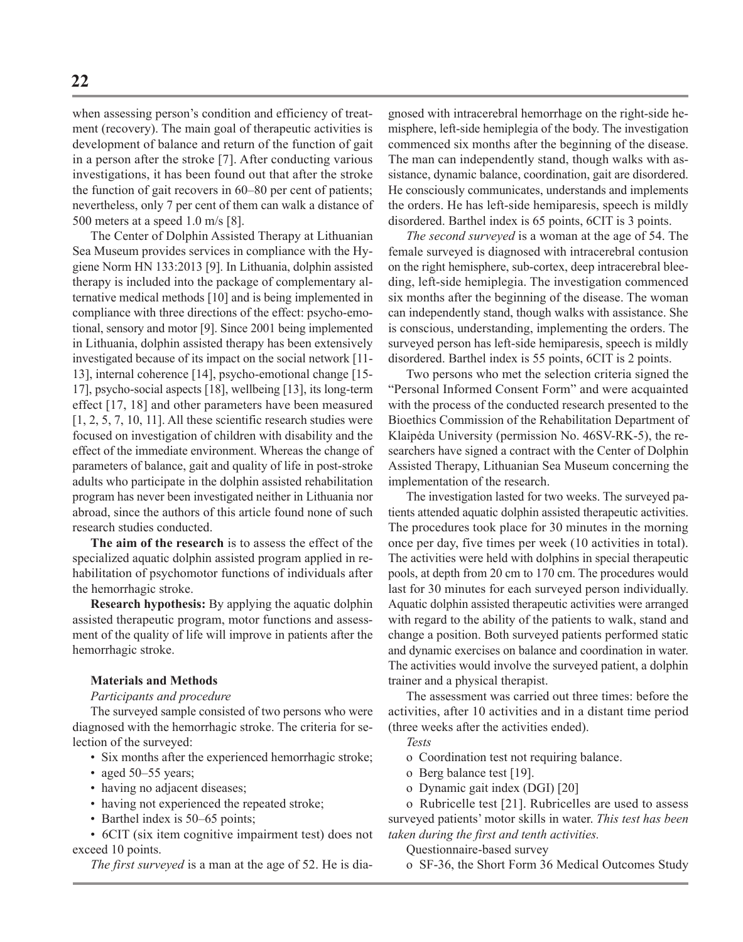when assessing person's condition and efficiency of treatment (recovery). The main goal of therapeutic activities is development of balance and return of the function of gait in a person after the stroke [7]. After conducting various investigations, it has been found out that after the stroke the function of gait recovers in 60–80 per cent of patients; nevertheless, only 7 per cent of them can walk a distance of 500 meters at a speed 1.0 m/s [8].

The Center of Dolphin Assisted Therapy at Lithuanian Sea Museum provides services in compliance with the Hygiene Norm HN 133:2013 [9]. In Lithuania, dolphin assisted therapy is included into the package of complementary alternative medical methods [10] and is being implemented in compliance with three directions of the effect: psycho-emotional, sensory and motor [9]. Since 2001 being implemented in Lithuania, dolphin assisted therapy has been extensively investigated because of its impact on the social network [11- 13], internal coherence [14], psycho-emotional change [15- 17], psycho-social aspects [18], wellbeing [13], its long-term effect [17, 18] and other parameters have been measured  $[1, 2, 5, 7, 10, 11]$ . All these scientific research studies were focused on investigation of children with disability and the effect of the immediate environment. Whereas the change of parameters of balance, gait and quality of life in post-stroke adults who participate in the dolphin assisted rehabilitation program has never been investigated neither in Lithuania nor abroad, since the authors of this article found none of such research studies conducted.

**The aim of the research** is to assess the effect of the specialized aquatic dolphin assisted program applied in rehabilitation of psychomotor functions of individuals after the hemorrhagic stroke.

**Research hypothesis:** By applying the aquatic dolphin assisted therapeutic program, motor functions and assessment of the quality of life will improve in patients after the hemorrhagic stroke.

### **Materials and Methods**

### *Participants and procedure*

The surveyed sample consisted of two persons who were diagnosed with the hemorrhagic stroke. The criteria for selection of the surveyed:

- Six months after the experienced hemorrhagic stroke;
- aged 50–55 years;
- having no adjacent diseases;
- having not experienced the repeated stroke;
- Barthel index is 50–65 points;

• 6CIT (six item cognitive impairment test) does not exceed 10 points.

*The first surveyed* is a man at the age of 52. He is dia-

gnosed with intracerebral hemorrhage on the right-side hemisphere, left-side hemiplegia of the body. The investigation commenced six months after the beginning of the disease. The man can independently stand, though walks with assistance, dynamic balance, coordination, gait are disordered. He consciously communicates, understands and implements the orders. He has left-side hemiparesis, speech is mildly disordered. Barthel index is 65 points, 6CIT is 3 points.

*The second surveyed* is a woman at the age of 54. The female surveyed is diagnosed with intracerebral contusion on the right hemisphere, sub-cortex, deep intracerebral bleeding, left-side hemiplegia. The investigation commenced six months after the beginning of the disease. The woman can independently stand, though walks with assistance. She is conscious, understanding, implementing the orders. The surveyed person has left-side hemiparesis, speech is mildly disordered. Barthel index is 55 points, 6CIT is 2 points.

Two persons who met the selection criteria signed the "Personal Informed Consent Form" and were acquainted with the process of the conducted research presented to the Bioethics Commission of the Rehabilitation Department of Klaipėda University (permission No. 46SV-RK-5), the researchers have signed a contract with the Center of Dolphin Assisted Therapy, Lithuanian Sea Museum concerning the implementation of the research.

The investigation lasted for two weeks. The surveyed patients attended aquatic dolphin assisted therapeutic activities. The procedures took place for 30 minutes in the morning once per day, five times per week (10 activities in total). The activities were held with dolphins in special therapeutic pools, at depth from 20 cm to 170 cm. The procedures would last for 30 minutes for each surveyed person individually. Aquatic dolphin assisted therapeutic activities were arranged with regard to the ability of the patients to walk, stand and change a position. Both surveyed patients performed static and dynamic exercises on balance and coordination in water. The activities would involve the surveyed patient, a dolphin trainer and a physical therapist.

The assessment was carried out three times: before the activities, after 10 activities and in a distant time period (three weeks after the activities ended).

- *Tests*
- o Coordination test not requiring balance.
- o Berg balance test [19].
- o Dynamic gait index (DGI) [20]

o Rubricelle test [21]. Rubricelles are used to assess surveyed patients' motor skills in water. *This test has been taken during the first and tenth activities.*

Questionnaire-based survey

o SF-36, the Short Form 36 Medical Outcomes Study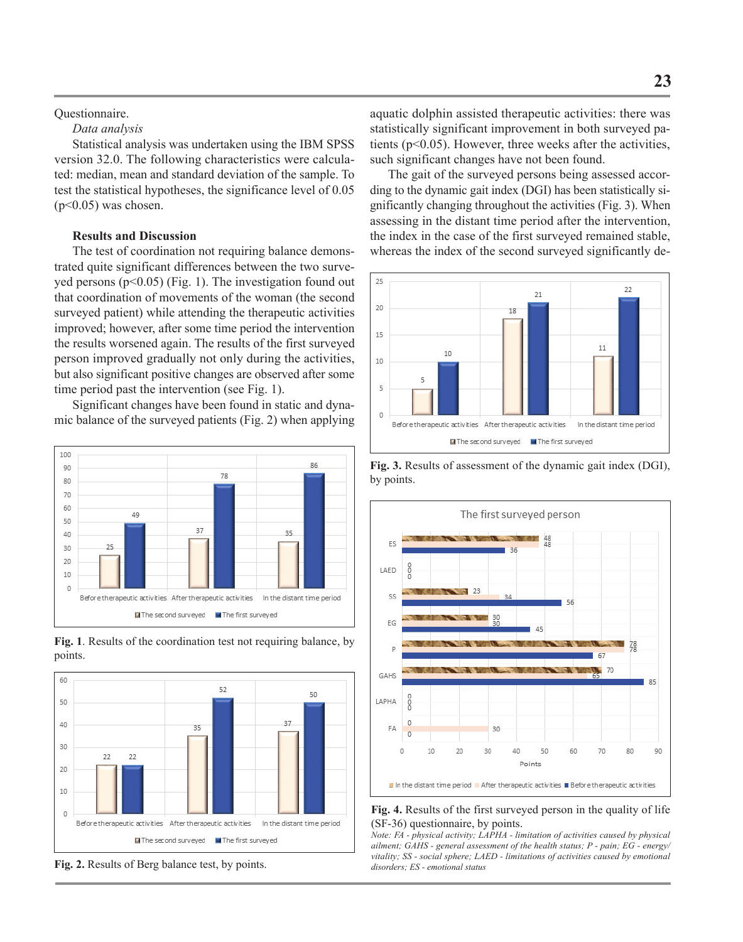# Questionnaire.

## *Data analysis*

Statistical analysis was undertaken using the IBM SPSS version 32.0. The following characteristics were calculated: median, mean and standard deviation of the sample. To test the statistical hypotheses, the significance level of 0.05  $(p<0.05)$  was chosen.

# **Results and Discussion**

The test of coordination not requiring balance demonstrated quite significant differences between the two surveyed persons  $(p<0.05)$  (Fig. 1). The investigation found out that coordination of movements of the woman (the second surveyed patient) while attending the therapeutic activities improved; however, after some time period the intervention the results worsened again. The results of the first surveyed person improved gradually not only during the activities, but also significant positive changes are observed after some time period past the intervention (see Fig. 1).

Significant changes have been found in static and dynamic balance of the surveyed patients (Fig. 2) when applying



**Fig. 1**. Results of the coordination test not requiring balance, by points.



**Fig. 2.** Results of Berg balance test, by points.

aquatic dolphin assisted therapeutic activities: there was statistically significant improvement in both surveyed patients ( $p<0.05$ ). However, three weeks after the activities, such significant changes have not been found.

The gait of the surveyed persons being assessed according to the dynamic gait index (DGI) has been statistically significantly changing throughout the activities (Fig. 3). When assessing in the distant time period after the intervention, the index in the case of the first surveyed remained stable, whereas the index of the second surveyed significantly de-



**Fig. 3.** Results of assessment of the dynamic gait index (DGI), by points.





*Note: FA - physical activity; LAPHA - limitation of activities caused by physical ailment; GAHS - general assessment of the health status; P - pain; EG - energy/ vitality; SS - social sphere; LAED - limitations of activities caused by emotional disorders; ES - emotional status*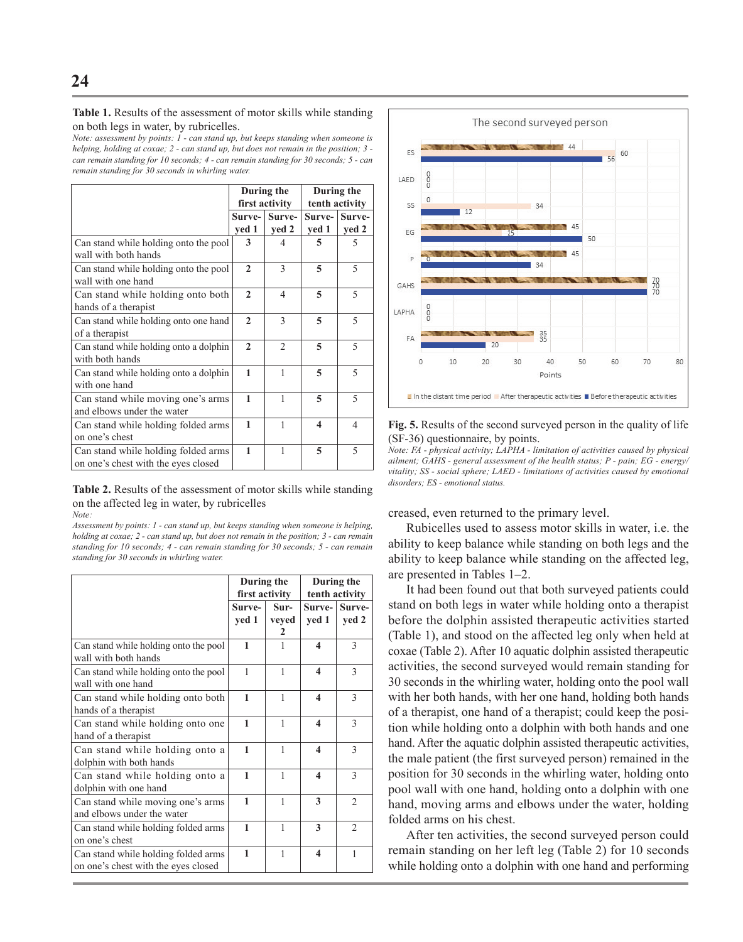**Table 1.** Results of the assessment of motor skills while standing on both legs in water, by rubricelles.

*Note: assessment by points: 1 - can stand up, but keeps standing when someone is helping, holding at coxae; 2 - can stand up, but does not remain in the position; 3 can remain standing for 10 seconds; 4 - can remain standing for 30 seconds; 5 - can remain standing for 30 seconds in whirling water.*

|                                                                            | During the<br>first activity |                 | During the<br>tenth activity |                          |
|----------------------------------------------------------------------------|------------------------------|-----------------|------------------------------|--------------------------|
|                                                                            | Surve-<br>yed 1              | Surve-<br>yed 2 | Surve-<br>yed 1              | Surve-<br>yed 2          |
| Can stand while holding onto the pool<br>wall with both hands              | 3                            | 4               | 5                            | 5                        |
| Can stand while holding onto the pool<br>wall with one hand                | $\mathbf{2}$                 | 3               | 5                            | 5                        |
| Can stand while holding onto both<br>hands of a therapist                  | $\mathbf{2}$                 | 4               | 5                            | 5                        |
| Can stand while holding onto one hand<br>of a therapist                    | $\mathbf{2}$                 | 3               | 5                            | $\overline{\phantom{0}}$ |
| Can stand while holding onto a dolphin<br>with both hands                  | $\mathbf{2}$                 | $\overline{2}$  | 5                            | $\overline{\phantom{0}}$ |
| Can stand while holding onto a dolphin<br>with one hand                    | 1                            | 1               | 5                            | $\overline{\phantom{0}}$ |
| Can stand while moving one's arms<br>and elbows under the water            | 1                            | 1               | 5                            | $\varsigma$              |
| Can stand while holding folded arms<br>on one's chest                      | 1                            | 1               | 4                            | $\overline{4}$           |
| Can stand while holding folded arms<br>on one's chest with the eyes closed | 1                            | 1               | 5                            | $\overline{\phantom{0}}$ |

**Table 2.** Results of the assessment of motor skills while standing on the affected leg in water, by rubricelles *Note:* 

*Assessment by points: 1 - can stand up, but keeps standing when someone is helping, holding at coxae; 2 - can stand up, but does not remain in the position; 3 - can remain standing for 10 seconds; 4 - can remain standing for 30 seconds; 5 - can remain standing for 30 seconds in whirling water.*

|                                                                            | During the<br>first activity |                    | During the<br>tenth activity |                 |
|----------------------------------------------------------------------------|------------------------------|--------------------|------------------------------|-----------------|
|                                                                            | Surve-<br>yed 1              | Sur-<br>veyed<br>2 | Surve-<br>yed 1              | Surve-<br>yed 2 |
| Can stand while holding onto the pool<br>wall with both hands              | 1                            | 1                  | $\boldsymbol{4}$             | 3               |
| Can stand while holding onto the pool<br>wall with one hand                | 1                            | 1                  | $\boldsymbol{4}$             | $\mathbf{3}$    |
| Can stand while holding onto both<br>hands of a therapist                  | 1                            | 1                  | 4                            | 3               |
| Can stand while holding onto one<br>hand of a therapist                    | 1                            | 1                  | 4                            | 3               |
| Can stand while holding onto a<br>dolphin with both hands                  | 1                            | 1                  | $\boldsymbol{4}$             | 3               |
| Can stand while holding onto a<br>dolphin with one hand                    | $\mathbf{1}$                 | 1                  | $\boldsymbol{4}$             | 3               |
| Can stand while moving one's arms<br>and elbows under the water            | 1                            | 1                  | 3                            | $\mathfrak{D}$  |
| Can stand while holding folded arms<br>on one's chest                      | 1                            | 1                  | 3                            | $\mathfrak{D}$  |
| Can stand while holding folded arms<br>on one's chest with the eyes closed | $\mathbf{1}$                 | 1                  | $\boldsymbol{4}$             | 1               |



**Fig. 5.** Results of the second surveyed person in the quality of life (SF-36) questionnaire, by points.

*Note: FA - physical activity; LAPHA - limitation of activities caused by physical ailment; GAHS - general assessment of the health status; P - pain; EG - energy/ vitality; SS - social sphere; LAED - limitations of activities caused by emotional disorders; ES - emotional status.*

creased, even returned to the primary level.

Rubicelles used to assess motor skills in water, i.e. the ability to keep balance while standing on both legs and the ability to keep balance while standing on the affected leg, are presented in Tables 1–2.

It had been found out that both surveyed patients could stand on both legs in water while holding onto a therapist before the dolphin assisted therapeutic activities started (Table 1), and stood on the affected leg only when held at coxae (Table 2). After 10 aquatic dolphin assisted therapeutic activities, the second surveyed would remain standing for 30 seconds in the whirling water, holding onto the pool wall with her both hands, with her one hand, holding both hands of a therapist, one hand of a therapist; could keep the position while holding onto a dolphin with both hands and one hand. After the aquatic dolphin assisted therapeutic activities, the male patient (the first surveyed person) remained in the position for 30 seconds in the whirling water, holding onto pool wall with one hand, holding onto a dolphin with one hand, moving arms and elbows under the water, holding folded arms on his chest.

After ten activities, the second surveyed person could remain standing on her left leg (Table 2) for 10 seconds while holding onto a dolphin with one hand and performing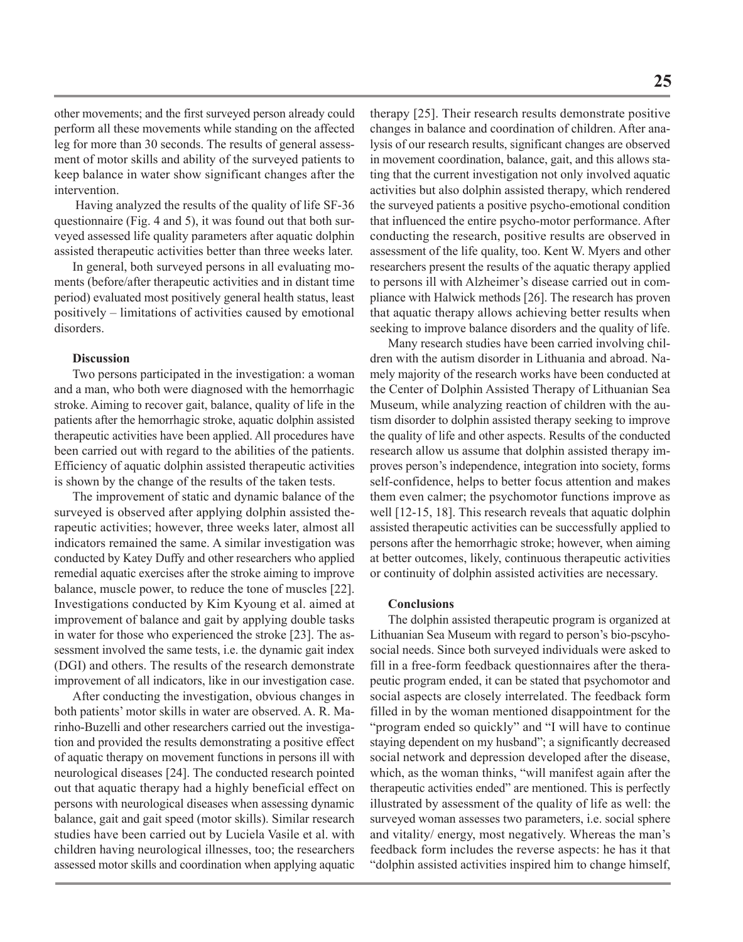**25**

other movements; and the first surveyed person already could perform all these movements while standing on the affected leg for more than 30 seconds. The results of general assessment of motor skills and ability of the surveyed patients to keep balance in water show significant changes after the intervention.

 Having analyzed the results of the quality of life SF-36 questionnaire (Fig. 4 and 5), it was found out that both surveyed assessed life quality parameters after aquatic dolphin assisted therapeutic activities better than three weeks later.

In general, both surveyed persons in all evaluating moments (before/after therapeutic activities and in distant time period) evaluated most positively general health status, least positively – limitations of activities caused by emotional disorders.

## **Discussion**

Two persons participated in the investigation: a woman and a man, who both were diagnosed with the hemorrhagic stroke. Aiming to recover gait, balance, quality of life in the patients after the hemorrhagic stroke, aquatic dolphin assisted therapeutic activities have been applied. All procedures have been carried out with regard to the abilities of the patients. Efficiency of aquatic dolphin assisted therapeutic activities is shown by the change of the results of the taken tests.

The improvement of static and dynamic balance of the surveyed is observed after applying dolphin assisted therapeutic activities; however, three weeks later, almost all indicators remained the same. A similar investigation was conducted by Katey Duffy and other researchers who applied remedial aquatic exercises after the stroke aiming to improve balance, muscle power, to reduce the tone of muscles [22]. Investigations conducted by Kim Kyoung et al. aimed at improvement of balance and gait by applying double tasks in water for those who experienced the stroke [23]. The assessment involved the same tests, i.e. the dynamic gait index (DGI) and others. The results of the research demonstrate improvement of all indicators, like in our investigation case.

After conducting the investigation, obvious changes in both patients' motor skills in water are observed. A. R. Marinho-Buzelli and other researchers carried out the investigation and provided the results demonstrating a positive effect of aquatic therapy on movement functions in persons ill with neurological diseases [24]. The conducted research pointed out that aquatic therapy had a highly beneficial effect on persons with neurological diseases when assessing dynamic balance, gait and gait speed (motor skills). Similar research studies have been carried out by Luciela Vasile et al. with children having neurological illnesses, too; the researchers assessed motor skills and coordination when applying aquatic

therapy [25]. Their research results demonstrate positive changes in balance and coordination of children. After analysis of our research results, significant changes are observed in movement coordination, balance, gait, and this allows stating that the current investigation not only involved aquatic activities but also dolphin assisted therapy, which rendered the surveyed patients a positive psycho-emotional condition that influenced the entire psycho-motor performance. After conducting the research, positive results are observed in assessment of the life quality, too. Kent W. Myers and other researchers present the results of the aquatic therapy applied to persons ill with Alzheimer's disease carried out in compliance with Halwick methods [26]. The research has proven that aquatic therapy allows achieving better results when seeking to improve balance disorders and the quality of life.

Many research studies have been carried involving children with the autism disorder in Lithuania and abroad. Namely majority of the research works have been conducted at the Center of Dolphin Assisted Therapy of Lithuanian Sea Museum, while analyzing reaction of children with the autism disorder to dolphin assisted therapy seeking to improve the quality of life and other aspects. Results of the conducted research allow us assume that dolphin assisted therapy improves person's independence, integration into society, forms self-confidence, helps to better focus attention and makes them even calmer; the psychomotor functions improve as well [12-15, 18]. This research reveals that aquatic dolphin assisted therapeutic activities can be successfully applied to persons after the hemorrhagic stroke; however, when aiming at better outcomes, likely, continuous therapeutic activities or continuity of dolphin assisted activities are necessary.

### **Conclusions**

The dolphin assisted therapeutic program is organized at Lithuanian Sea Museum with regard to person's bio-pscyhosocial needs. Since both surveyed individuals were asked to fill in a free-form feedback questionnaires after the therapeutic program ended, it can be stated that psychomotor and social aspects are closely interrelated. The feedback form filled in by the woman mentioned disappointment for the "program ended so quickly" and "I will have to continue staying dependent on my husband"; a significantly decreased social network and depression developed after the disease, which, as the woman thinks, "will manifest again after the therapeutic activities ended" are mentioned. This is perfectly illustrated by assessment of the quality of life as well: the surveyed woman assesses two parameters, i.e. social sphere and vitality/ energy, most negatively. Whereas the man's feedback form includes the reverse aspects: he has it that "dolphin assisted activities inspired him to change himself,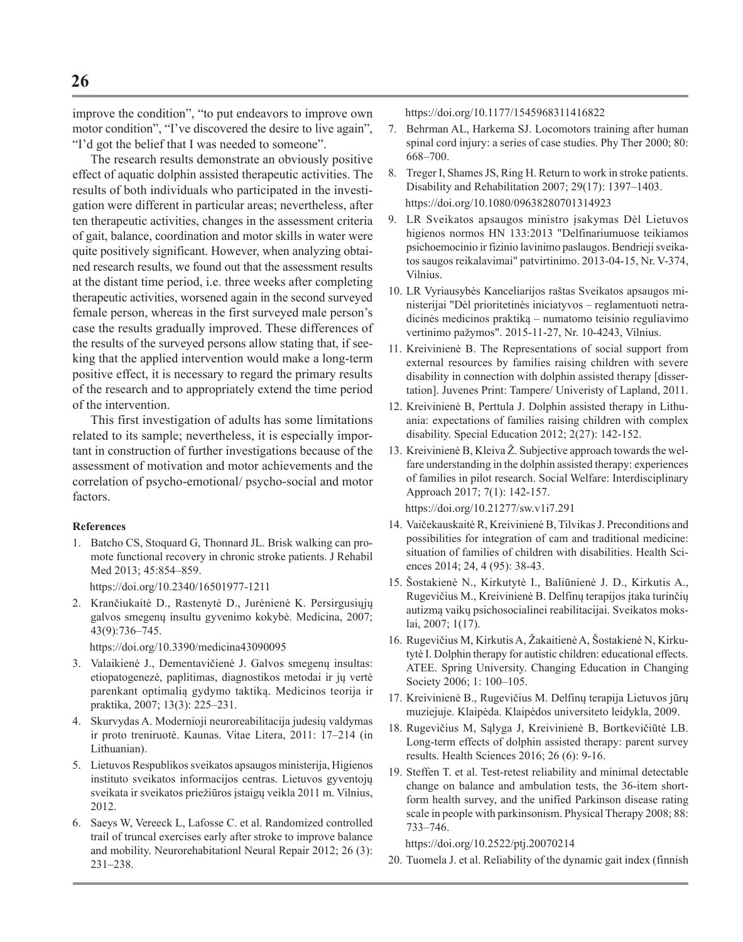improve the condition", "to put endeavors to improve own motor condition", "I've discovered the desire to live again", "I'd got the belief that I was needed to someone".

The research results demonstrate an obviously positive effect of aquatic dolphin assisted therapeutic activities. The results of both individuals who participated in the investigation were different in particular areas; nevertheless, after ten therapeutic activities, changes in the assessment criteria of gait, balance, coordination and motor skills in water were quite positively significant. However, when analyzing obtained research results, we found out that the assessment results at the distant time period, i.e. three weeks after completing therapeutic activities, worsened again in the second surveyed female person, whereas in the first surveyed male person's case the results gradually improved. These differences of the results of the surveyed persons allow stating that, if seeking that the applied intervention would make a long-term positive effect, it is necessary to regard the primary results of the research and to appropriately extend the time period of the intervention.

This first investigation of adults has some limitations related to its sample; nevertheless, it is especially important in construction of further investigations because of the assessment of motivation and motor achievements and the correlation of psycho-emotional/ psycho-social and motor factors.

# **References**

1. Batcho CS, Stoquard G, Thonnard JL. Brisk walking can promote functional recovery in chronic stroke patients. J Rehabil Med 2013; 45:854–859.

https://doi.org/10.2340/16501977-1211

2. Krančiukaitė D., Rastenytė D., Jurėnienė K. Persirgusiųjų galvos smegenų insultu gyvenimo kokybė. Medicina, 2007; 43(9):736–745.

https://doi.org/10.3390/medicina43090095

- 3. Valaikienė J., Dementavičienė J. Galvos smegenų insultas: etiopatogenezė, paplitimas, diagnostikos metodai ir jų vertė parenkant optimalią gydymo taktiką. Medicinos teorija ir praktika, 2007; 13(3): 225–231.
- 4. Skurvydas A. Modernioji neuroreabilitacija judesių valdymas ir proto treniruotė. Kaunas. Vitae Litera, 2011: 17–214 (in Lithuanian).
- 5. Lietuvos Respublikos sveikatos apsaugos ministerija, Higienos instituto sveikatos informacijos centras. Lietuvos gyventojų sveikata ir sveikatos priežiūros įstaigų veikla 2011 m. Vilnius, 2012.
- 6. Saeys W, Vereeck L, Lafosse C. et al. Randomized controlled trail of truncal exercises early after stroke to improve balance and mobility. Neurorehabitationl Neural Repair 2012; 26 (3): 231–238.

https://doi.org/10.1177/1545968311416822

- 7. Behrman AL, Harkema SJ. Locomotors training after human spinal cord injury: a series of case studies. Phy Ther 2000; 80: 668–700.
- 8. Treger I, Shames JS, Ring H. Return to work in stroke patients. Disability and Rehabilitation 2007; 29(17): 1397–1403. https://doi.org/10.1080/09638280701314923
- 9. LR Sveikatos apsaugos ministro įsakymas Dėl Lietuvos higienos normos HN 133:2013 "Delfinariumuose teikiamos psichoemocinio ir fizinio lavinimo paslaugos. Bendrieji sveikatos saugos reikalavimai" patvirtinimo. 2013-04-15, Nr. V-374, Vilnius.
- 10. LR Vyriausybės Kanceliarijos raštas Sveikatos apsaugos ministerijai "Dėl prioritetinės iniciatyvos – reglamentuoti netradicinės medicinos praktiką – numatomo teisinio reguliavimo vertinimo pažymos". 2015-11-27, Nr. 10-4243, Vilnius.
- 11. Kreivinienė B. The Representations of social support from external resources by families raising children with severe disability in connection with dolphin assisted therapy [dissertation]. Juvenes Print: Tampere/ Univeristy of Lapland, 2011.
- 12. Kreivinienė B, Perttula J. Dolphin assisted therapy in Lithuania: expectations of families raising children with complex disability. Special Education 2012; 2(27): 142-152.
- 13. Kreivinienė B, Kleiva Ž. Subjective approach towards the welfare understanding in the dolphin assisted therapy: experiences of families in pilot research. Social Welfare: Interdisciplinary Approach 2017; 7(1): 142-157. https://doi.org/10.21277/sw.v1i7.291
- 14. Vaičekauskaitė R, Kreivinienė B, Tilvikas J. Preconditions and possibilities for integration of cam and traditional medicine: situation of families of children with disabilities. Health Sciences 2014; 24, 4 (95): 38-43.
- 15. Šostakienė N., Kirkutytė I., Baliūnienė J. D., Kirkutis A., Rugevičius M., Kreivinienė B. Delfinų terapijos įtaka turinčių autizmą vaikų psichosocialinei reabilitacijai. Sveikatos mokslai, 2007; 1(17).
- 16. Rugevičius M, Kirkutis A, Žakaitienė A, Šostakienė N, Kirkutytė I. Dolphin therapy for autistic children: educational effects. ATEE. Spring University. Changing Education in Changing Society 2006; 1: 100–105.
- 17. Kreivinienė B., Rugevičius M. Delfinų terapija Lietuvos jūrų muziejuje. Klaipėda. Klaipėdos universiteto leidykla, 2009.
- 18. Rugevičius M, Sąlyga J, Kreivinienė B, Bortkevičiūtė LB. Long-term effects of dolphin assisted therapy: parent survey results. Health Sciences 2016; 26 (6): 9-16.
- 19. Steffen T. et al. Test-retest reliability and minimal detectable change on balance and ambulation tests, the 36-item shortform health survey, and the unified Parkinson disease rating scale in people with parkinsonism. Physical Therapy 2008; 88: 733–746.

https://doi.org/10.2522/ptj.20070214

20. Tuomela J. et al. Reliability of the dynamic gait index (finnish